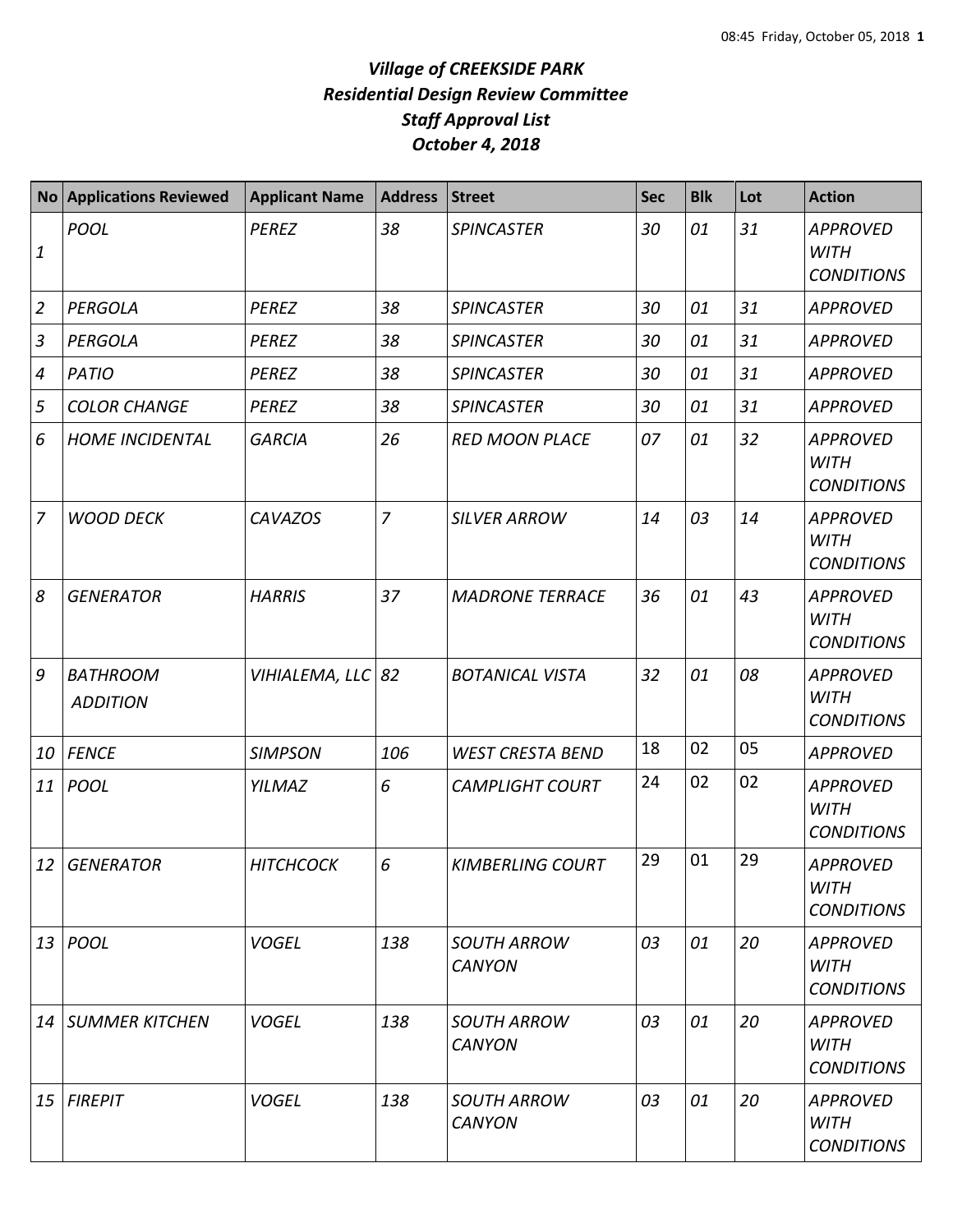## *Village of CREEKSIDE PARK Residential Design Review Committee Staff Approval List October 4, 2018*

|                                                | <b>No Applications Reviewed</b>    | <b>Applicant Name</b> | <b>Address</b> | <b>Street</b>                       | <b>Sec</b> | <b>Blk</b> | Lot | <b>Action</b>                                       |
|------------------------------------------------|------------------------------------|-----------------------|----------------|-------------------------------------|------------|------------|-----|-----------------------------------------------------|
| $\mathbf{1}% \in\mathbb{Z}_{+}^{d}[z,\bar{z}]$ | <b>POOL</b>                        | <b>PEREZ</b>          | 38             | <b>SPINCASTER</b>                   | 30         | 01         | 31  | <b>APPROVED</b><br><b>WITH</b><br><b>CONDITIONS</b> |
| $\overline{2}$                                 | <b>PERGOLA</b>                     | <b>PEREZ</b>          | 38             | <b>SPINCASTER</b>                   | 30         | 01         | 31  | <b>APPROVED</b>                                     |
| $\mathfrak{Z}$                                 | PERGOLA                            | <b>PEREZ</b>          | 38             | <b>SPINCASTER</b>                   | 30         | 01         | 31  | <b>APPROVED</b>                                     |
| $\boldsymbol{4}$                               | <b>PATIO</b>                       | <b>PEREZ</b>          | 38             | <b>SPINCASTER</b>                   | 30         | 01         | 31  | <b>APPROVED</b>                                     |
| 5                                              | <b>COLOR CHANGE</b>                | <b>PEREZ</b>          | 38             | <b>SPINCASTER</b>                   | 30         | 01         | 31  | <b>APPROVED</b>                                     |
| 6                                              | <b>HOME INCIDENTAL</b>             | <b>GARCIA</b>         | 26             | <b>RED MOON PLACE</b>               | 07         | 01         | 32  | <b>APPROVED</b><br><b>WITH</b><br><b>CONDITIONS</b> |
| $\overline{7}$                                 | <b>WOOD DECK</b>                   | <b>CAVAZOS</b>        | $\overline{7}$ | <b>SILVER ARROW</b>                 | 14         | 03         | 14  | <b>APPROVED</b><br><b>WITH</b><br><b>CONDITIONS</b> |
| 8                                              | <b>GENERATOR</b>                   | <b>HARRIS</b>         | 37             | <b>MADRONE TERRACE</b>              | 36         | 01         | 43  | <b>APPROVED</b><br><b>WITH</b><br><b>CONDITIONS</b> |
| 9                                              | <b>BATHROOM</b><br><b>ADDITION</b> | VIHIALEMA, LLC 82     |                | <b>BOTANICAL VISTA</b>              | 32         | 01         | 08  | <b>APPROVED</b><br><b>WITH</b><br><b>CONDITIONS</b> |
| 10                                             | <b>FENCE</b>                       | <b>SIMPSON</b>        | 106            | <b>WEST CRESTA BEND</b>             | 18         | 02         | 05  | <b>APPROVED</b>                                     |
| 11                                             | <b>POOL</b>                        | <b>YILMAZ</b>         | 6              | <b>CAMPLIGHT COURT</b>              | 24         | 02         | 02  | <b>APPROVED</b><br><b>WITH</b><br><b>CONDITIONS</b> |
| 12                                             | <b>GENERATOR</b>                   | <b>HITCHCOCK</b>      | 6              | <b>KIMBERLING COURT</b>             | 29         | 01         | 29  | <b>APPROVED</b><br><b>WITH</b><br><b>CONDITIONS</b> |
| 13                                             | <b>POOL</b>                        | <b>VOGEL</b>          | 138            | <b>SOUTH ARROW</b><br><b>CANYON</b> | 03         | 01         | 20  | <b>APPROVED</b><br><b>WITH</b><br><b>CONDITIONS</b> |
| 14                                             | <b>SUMMER KITCHEN</b>              | <b>VOGEL</b>          | 138            | <b>SOUTH ARROW</b><br><b>CANYON</b> | 03         | 01         | 20  | <b>APPROVED</b><br><b>WITH</b><br><b>CONDITIONS</b> |
| 15                                             | <b>FIREPIT</b>                     | <b>VOGEL</b>          | 138            | <b>SOUTH ARROW</b><br><b>CANYON</b> | 03         | 01         | 20  | <b>APPROVED</b><br><b>WITH</b><br><b>CONDITIONS</b> |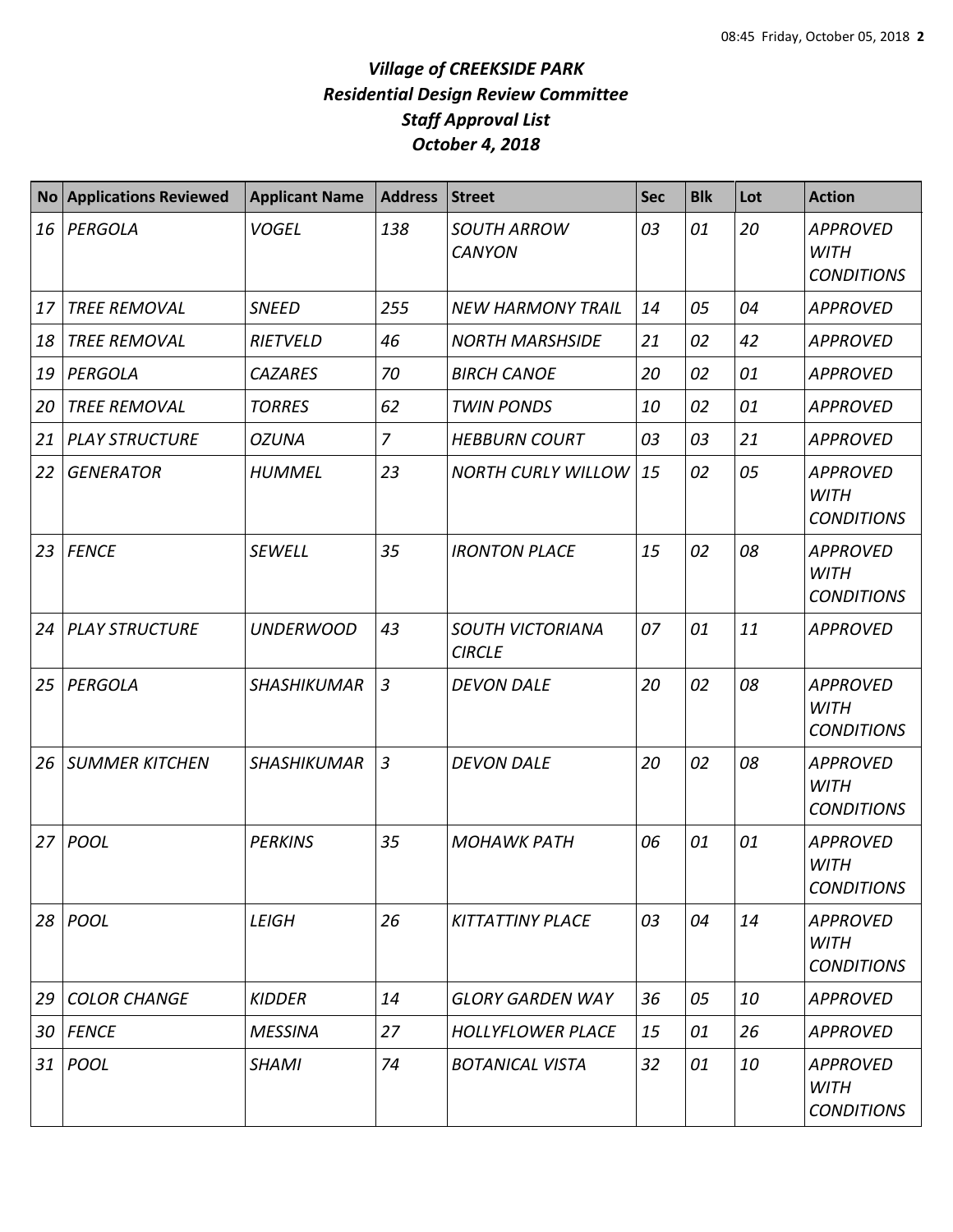## *Village of CREEKSIDE PARK Residential Design Review Committee Staff Approval List October 4, 2018*

| <b>No</b>       | <b>Applications Reviewed</b> | <b>Applicant Name</b> | <b>Address</b> | <b>Street</b>                            | <b>Sec</b> | <b>Blk</b> | Lot | <b>Action</b>                                       |
|-----------------|------------------------------|-----------------------|----------------|------------------------------------------|------------|------------|-----|-----------------------------------------------------|
| 16              | PERGOLA                      | <b>VOGEL</b>          | 138            | <b>SOUTH ARROW</b><br><b>CANYON</b>      | 03         | 01         | 20  | <b>APPROVED</b><br><b>WITH</b><br><b>CONDITIONS</b> |
| 17              | <b>TREE REMOVAL</b>          | <b>SNEED</b>          | 255            | <b>NEW HARMONY TRAIL</b>                 | 14         | 05         | 04  | <b>APPROVED</b>                                     |
| 18              | <b>TREE REMOVAL</b>          | <b>RIETVELD</b>       | 46             | <b>NORTH MARSHSIDE</b>                   | 21         | 02         | 42  | <b>APPROVED</b>                                     |
| 19              | PERGOLA                      | <b>CAZARES</b>        | 70             | <b>BIRCH CANOE</b>                       | 20         | 02         | 01  | <b>APPROVED</b>                                     |
| 20              | <b>TREE REMOVAL</b>          | <b>TORRES</b>         | 62             | <b>TWIN PONDS</b>                        | 10         | 02         | 01  | <b>APPROVED</b>                                     |
| 21              | <b>PLAY STRUCTURE</b>        | <b>OZUNA</b>          | $\overline{7}$ | <b>HEBBURN COURT</b>                     | 03         | 03         | 21  | <b>APPROVED</b>                                     |
| 22              | <b>GENERATOR</b>             | <b>HUMMEL</b>         | 23             | <b>NORTH CURLY WILLOW</b>                | 15         | 02         | 05  | <b>APPROVED</b><br><b>WITH</b><br><b>CONDITIONS</b> |
|                 | 23   FENCE                   | <b>SEWELL</b>         | 35             | <b>IRONTON PLACE</b>                     | 15         | 02         | 08  | <b>APPROVED</b><br><b>WITH</b><br><b>CONDITIONS</b> |
| 24 <sup>1</sup> | <b>PLAY STRUCTURE</b>        | <b>UNDERWOOD</b>      | 43             | <b>SOUTH VICTORIANA</b><br><b>CIRCLE</b> | 07         | 01         | 11  | <b>APPROVED</b>                                     |
| 25              | PERGOLA                      | <b>SHASHIKUMAR</b>    | $\overline{3}$ | <b>DEVON DALE</b>                        | 20         | 02         | 08  | <b>APPROVED</b><br><b>WITH</b><br><b>CONDITIONS</b> |
| 26              | <b>SUMMER KITCHEN</b>        | <b>SHASHIKUMAR</b>    | $\overline{3}$ | <b>DEVON DALE</b>                        | 20         | 02         | 08  | <b>APPROVED</b><br><b>WITH</b><br><b>CONDITIONS</b> |
|                 | 27 POOL                      | <b>PERKINS</b>        | 35             | <b>MOHAWK PATH</b>                       | 06         | 01         | 01  | <b>APPROVED</b><br><b>WITH</b><br><b>CONDITIONS</b> |
| 28 I            | POOL                         | <b>LEIGH</b>          | 26             | <b>KITTATTINY PLACE</b>                  | 03         | 04         | 14  | <b>APPROVED</b><br><b>WITH</b><br><b>CONDITIONS</b> |
| 29              | <b>COLOR CHANGE</b>          | <b>KIDDER</b>         | 14             | <b>GLORY GARDEN WAY</b>                  | 36         | 05         | 10  | <b>APPROVED</b>                                     |
|                 | 30   FENCE                   | <b>MESSINA</b>        | 27             | <b>HOLLYFLOWER PLACE</b>                 | 15         | 01         | 26  | <b>APPROVED</b>                                     |
|                 | 31   POOL                    | <b>SHAMI</b>          | 74             | <b>BOTANICAL VISTA</b>                   | 32         | 01         | 10  | <b>APPROVED</b><br>WITH<br><b>CONDITIONS</b>        |